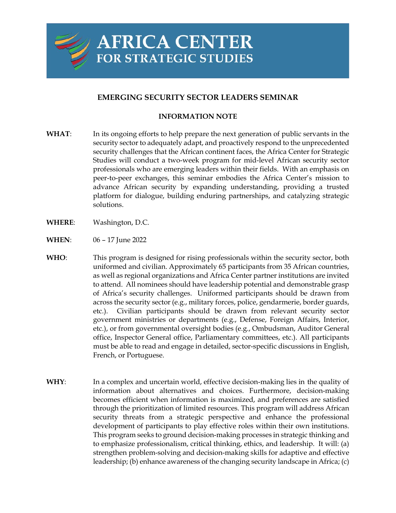

## **EMERGING SECURITY SECTOR LEADERS SEMINAR**

## **INFORMATION NOTE**

- **WHAT**: In its ongoing efforts to help prepare the next generation of public servants in the security sector to adequately adapt, and proactively respond to the unprecedented security challenges that the African continent faces, the Africa Center for Strategic Studies will conduct a two-week program for mid-level African security sector professionals who are emerging leaders within their fields. With an emphasis on peer-to-peer exchanges, this seminar embodies the Africa Center's mission to advance African security by expanding understanding, providing a trusted platform for dialogue, building enduring partnerships, and catalyzing strategic solutions.
- **WHERE**: Washington, D.C.
- **WHEN**: 06 17 June 2022
- **WHO**: This program is designed for rising professionals within the security sector, both uniformed and civilian. Approximately 65 participants from 35 African countries, as well as regional organizations and Africa Center partner institutions are invited to attend. All nominees should have leadership potential and demonstrable grasp of Africa's security challenges. Uniformed participants should be drawn from across the security sector (e.g., military forces, police, gendarmerie, border guards, etc.). Civilian participants should be drawn from relevant security sector government ministries or departments (e.g., Defense, Foreign Affairs, Interior, etc.), or from governmental oversight bodies (e.g., Ombudsman, Auditor General office, Inspector General office, Parliamentary committees, etc.). All participants must be able to read and engage in detailed, sector-specific discussions in English, French, or Portuguese.
- **WHY**: In a complex and uncertain world, effective decision-making lies in the quality of information about alternatives and choices. Furthermore, decision-making becomes efficient when information is maximized, and preferences are satisfied through the prioritization of limited resources. This program will address African security threats from a strategic perspective and enhance the professional development of participants to play effective roles within their own institutions. This program seeks to ground decision-making processes in strategic thinking and to emphasize professionalism, critical thinking, ethics, and leadership. It will: (a) strengthen problem-solving and decision-making skills for adaptive and effective leadership; (b) enhance awareness of the changing security landscape in Africa; (c)